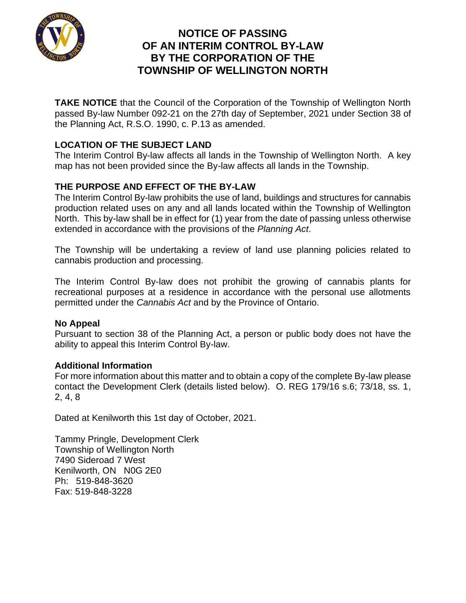

## **NOTICE OF PASSING OF AN INTERIM CONTROL BY-LAW BY THE CORPORATION OF THE TOWNSHIP OF WELLINGTON NORTH**

**TAKE NOTICE** that the Council of the Corporation of the Township of Wellington North passed By-law Number 092-21 on the 27th day of September, 2021 under Section 38 of the Planning Act, R.S.O. 1990, c. P.13 as amended.

### **LOCATION OF THE SUBJECT LAND**

The Interim Control By-law affects all lands in the Township of Wellington North. A key map has not been provided since the By-law affects all lands in the Township.

### **THE PURPOSE AND EFFECT OF THE BY-LAW**

The Interim Control By-law prohibits the use of land, buildings and structures for cannabis production related uses on any and all lands located within the Township of Wellington North. This by-law shall be in effect for (1) year from the date of passing unless otherwise extended in accordance with the provisions of the *Planning Act*.

The Township will be undertaking a review of land use planning policies related to cannabis production and processing.

The Interim Control By-law does not prohibit the growing of cannabis plants for recreational purposes at a residence in accordance with the personal use allotments permitted under the *Cannabis Act* and by the Province of Ontario.

### **No Appeal**

Pursuant to section 38 of the Planning Act, a person or public body does not have the ability to appeal this Interim Control By-law.

#### **Additional Information**

For more information about this matter and to obtain a copy of the complete By-law please contact the Development Clerk (details listed below). O. REG 179/16 s.6; 73/18, ss. 1, 2, 4, 8

Dated at Kenilworth this 1st day of October, 2021.

Tammy Pringle, Development Clerk Township of Wellington North 7490 Sideroad 7 West Kenilworth, ON N0G 2E0 Ph: 519-848-3620 Fax: 519-848-3228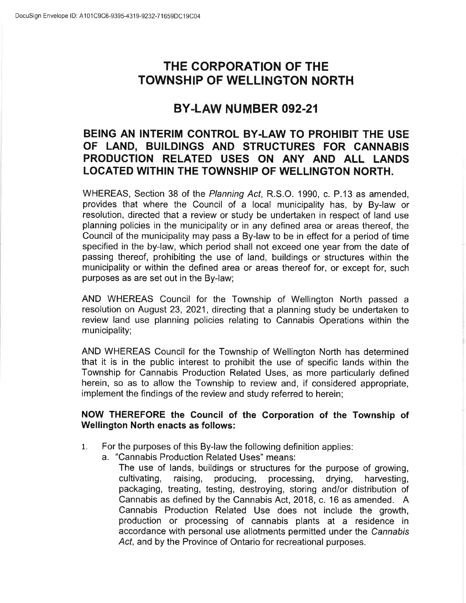# THE CORPORATION OF THE TOWNSHIP OF WELLINGTON NORTH

# BY.LAW NUMBER 092.21

### BEING AN INTERIM CONTROL BY.LAW TO PROHIBIT THE USE OF LAND, BUILDINGS AND STRUCTURES FOR CANNABIS PRODUCTION RELATED USES ON ANY AND ALL LANDS LOCATED WITHIN THE TOWNSHIP OF WELLINGTON NORTH.

WHEREAS, Section 38 of the Planning Act, R.S.O. 1990, c. P.13 as amended, provides that where the Council of a local municipality has, by By-law or resolution, directed that a review or study be undertaken in respect of land use planning policies in the municipality or in any defined area or areas thereof, the Council of the municipality may pass a By-law to be in effect for a period of time specified in the by-law, which period shall not exceed one year from the date of passing thereof, prohibiting the use of land, buildings or structures within the municipality or within the defined area or areas thereof for, or except for, such purposes as are set out in the By-law;

AND WHEREAS Council for the Township of Wellington North passed <sup>a</sup> resolution on August 23, 2021, directing that a planning study be undertaken to review land use planning policies relating to Cannabis Operations within the municipality;

AND WHEREAS Council for the Township of Wellington North has determined that it is in the public interest to prohibit the use of specific lands within the Township for Cannabis Production Related Uses, as more particularly defined herein, so as to allow the Township to review and, if considered appropriate, implement the findings of the review and study referred to herein;

### NOW THEREFORE the Council of the Corporation of the Township of Wellington North enacts as follows:

- For the purposes of this By-law the following definition applies:  $1<sub>1</sub>$ 
	- a. "Cannabis Production Related Uses" means:
		- The use of lands, buildings or structures for the purpose of growing, cultivating, raising, producing, processing, drying, harvesting, packaging, treating, testing, destroying, storing and/or distribution of Cannabis as defined by the Cannabis Act, 2018, c. 16 as amended. A Cannabis Production Related Use does not include the growth, production or processing of cannabis plants at a residence in accordance with personal use allotments permitted under the Cannabis Act, and by the Province of Ontario for recreational purposes.